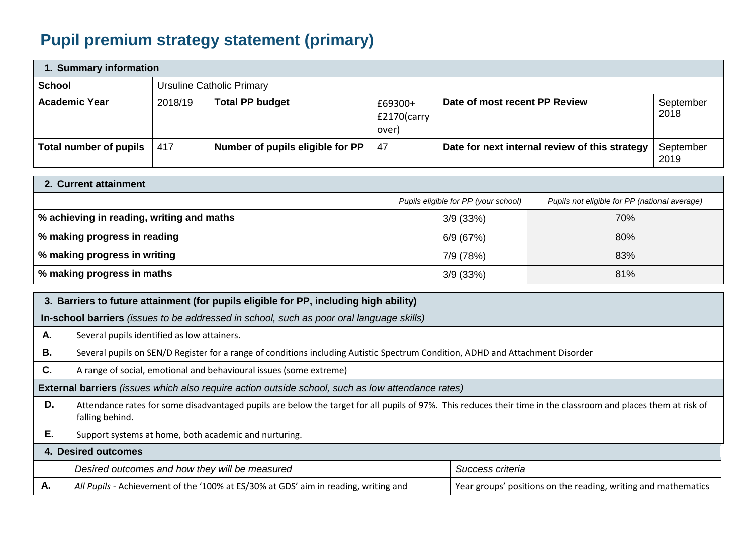## **Pupil premium strategy statement (primary)**

| 1. Summary information |         |                                  |                                 |                                                |                   |  |
|------------------------|---------|----------------------------------|---------------------------------|------------------------------------------------|-------------------|--|
| <b>School</b>          |         | <b>Ursuline Catholic Primary</b> |                                 |                                                |                   |  |
| <b>Academic Year</b>   | 2018/19 | <b>Total PP budget</b>           | £69300+<br>£2170(carry<br>over) | Date of most recent PP Review                  | September<br>2018 |  |
| Total number of pupils | 417     | Number of pupils eligible for PP | 47                              | Date for next internal review of this strategy | September<br>2019 |  |

| 2. Current attainment                     |                                      |                                               |
|-------------------------------------------|--------------------------------------|-----------------------------------------------|
|                                           | Pupils eligible for PP (your school) | Pupils not eligible for PP (national average) |
| % achieving in reading, writing and maths | 3/9(33%)                             | 70%                                           |
| % making progress in reading              | 6/9(67%)                             | 80%                                           |
| % making progress in writing              | 7/9 (78%)                            | 83%                                           |
| % making progress in maths                | 3/9(33%)                             | 81%                                           |

|    | 3. Barriers to future attainment (for pupils eligible for PP, including high ability)                                                                                             |                                                                |  |  |  |
|----|-----------------------------------------------------------------------------------------------------------------------------------------------------------------------------------|----------------------------------------------------------------|--|--|--|
|    | In-school barriers (issues to be addressed in school, such as poor oral language skills)                                                                                          |                                                                |  |  |  |
| Α. | Several pupils identified as low attainers.                                                                                                                                       |                                                                |  |  |  |
| В. | Several pupils on SEN/D Register for a range of conditions including Autistic Spectrum Condition, ADHD and Attachment Disorder                                                    |                                                                |  |  |  |
| C. | A range of social, emotional and behavioural issues (some extreme)                                                                                                                |                                                                |  |  |  |
|    | External barriers (issues which also require action outside school, such as low attendance rates)                                                                                 |                                                                |  |  |  |
| D. | Attendance rates for some disadvantaged pupils are below the target for all pupils of 97%. This reduces their time in the classroom and places them at risk of<br>falling behind. |                                                                |  |  |  |
| Ε. | Support systems at home, both academic and nurturing.                                                                                                                             |                                                                |  |  |  |
|    | 4. Desired outcomes                                                                                                                                                               |                                                                |  |  |  |
|    | Desired outcomes and how they will be measured                                                                                                                                    | Success criteria                                               |  |  |  |
| А. | All Pupils - Achievement of the '100% at ES/30% at GDS' aim in reading, writing and                                                                                               | Year groups' positions on the reading, writing and mathematics |  |  |  |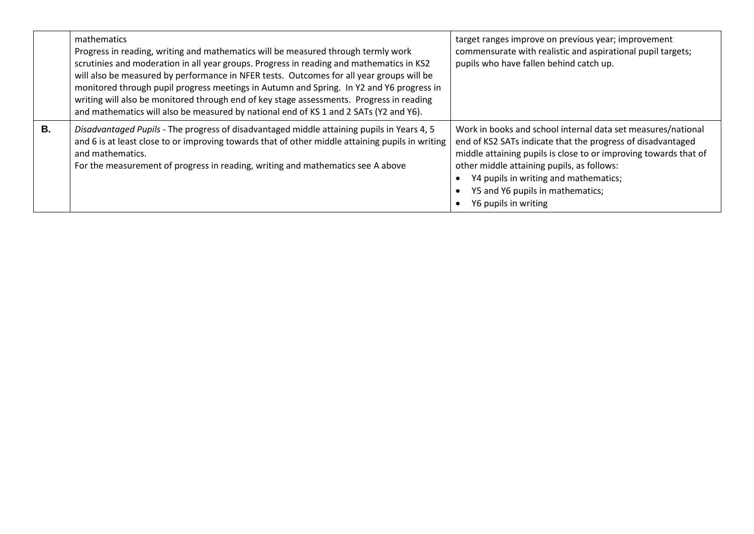|           | mathematics<br>Progress in reading, writing and mathematics will be measured through termly work<br>scrutinies and moderation in all year groups. Progress in reading and mathematics in KS2<br>will also be measured by performance in NFER tests. Outcomes for all year groups will be<br>monitored through pupil progress meetings in Autumn and Spring. In Y2 and Y6 progress in<br>writing will also be monitored through end of key stage assessments. Progress in reading<br>and mathematics will also be measured by national end of KS 1 and 2 SATs (Y2 and Y6). | target ranges improve on previous year; improvement<br>commensurate with realistic and aspirational pupil targets;<br>pupils who have fallen behind catch up.                                                                                                                                                                                      |
|-----------|---------------------------------------------------------------------------------------------------------------------------------------------------------------------------------------------------------------------------------------------------------------------------------------------------------------------------------------------------------------------------------------------------------------------------------------------------------------------------------------------------------------------------------------------------------------------------|----------------------------------------------------------------------------------------------------------------------------------------------------------------------------------------------------------------------------------------------------------------------------------------------------------------------------------------------------|
| <b>B.</b> | Disadvantaged Pupils - The progress of disadvantaged middle attaining pupils in Years 4, 5<br>and 6 is at least close to or improving towards that of other middle attaining pupils in writing<br>and mathematics.<br>For the measurement of progress in reading, writing and mathematics see A above                                                                                                                                                                                                                                                                     | Work in books and school internal data set measures/national<br>end of KS2 SATs indicate that the progress of disadvantaged<br>middle attaining pupils is close to or improving towards that of<br>other middle attaining pupils, as follows:<br>Y4 pupils in writing and mathematics;<br>Y5 and Y6 pupils in mathematics;<br>Y6 pupils in writing |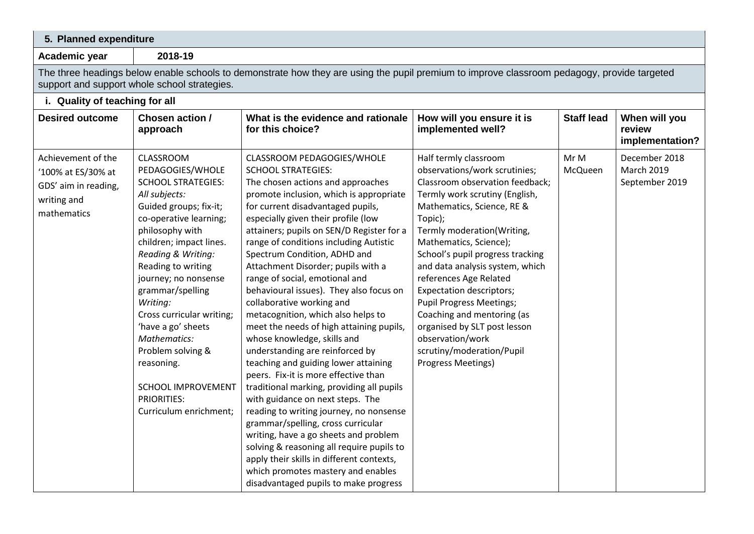| 5. Planned expenditure                                                                         |                                                                                                                                                                                                                                                                                                                                                                                                                                                               |                                                                                                                                                                                                                                                                                                                                                                                                                                                                                                                                                                                                                                                                                                                                                                                                                                                                                                                                                                                                                                                                                                                    |                                                                                                                                                                                                                                                                                                                                                                                                                                                                                                                                          |                   |                                                      |
|------------------------------------------------------------------------------------------------|---------------------------------------------------------------------------------------------------------------------------------------------------------------------------------------------------------------------------------------------------------------------------------------------------------------------------------------------------------------------------------------------------------------------------------------------------------------|--------------------------------------------------------------------------------------------------------------------------------------------------------------------------------------------------------------------------------------------------------------------------------------------------------------------------------------------------------------------------------------------------------------------------------------------------------------------------------------------------------------------------------------------------------------------------------------------------------------------------------------------------------------------------------------------------------------------------------------------------------------------------------------------------------------------------------------------------------------------------------------------------------------------------------------------------------------------------------------------------------------------------------------------------------------------------------------------------------------------|------------------------------------------------------------------------------------------------------------------------------------------------------------------------------------------------------------------------------------------------------------------------------------------------------------------------------------------------------------------------------------------------------------------------------------------------------------------------------------------------------------------------------------------|-------------------|------------------------------------------------------|
| Academic year                                                                                  | 2018-19                                                                                                                                                                                                                                                                                                                                                                                                                                                       |                                                                                                                                                                                                                                                                                                                                                                                                                                                                                                                                                                                                                                                                                                                                                                                                                                                                                                                                                                                                                                                                                                                    |                                                                                                                                                                                                                                                                                                                                                                                                                                                                                                                                          |                   |                                                      |
|                                                                                                | support and support whole school strategies.                                                                                                                                                                                                                                                                                                                                                                                                                  | The three headings below enable schools to demonstrate how they are using the pupil premium to improve classroom pedagogy, provide targeted                                                                                                                                                                                                                                                                                                                                                                                                                                                                                                                                                                                                                                                                                                                                                                                                                                                                                                                                                                        |                                                                                                                                                                                                                                                                                                                                                                                                                                                                                                                                          |                   |                                                      |
| i. Quality of teaching for all                                                                 |                                                                                                                                                                                                                                                                                                                                                                                                                                                               |                                                                                                                                                                                                                                                                                                                                                                                                                                                                                                                                                                                                                                                                                                                                                                                                                                                                                                                                                                                                                                                                                                                    |                                                                                                                                                                                                                                                                                                                                                                                                                                                                                                                                          |                   |                                                      |
| <b>Desired outcome</b>                                                                         | Chosen action /<br>approach                                                                                                                                                                                                                                                                                                                                                                                                                                   | What is the evidence and rationale<br>for this choice?                                                                                                                                                                                                                                                                                                                                                                                                                                                                                                                                                                                                                                                                                                                                                                                                                                                                                                                                                                                                                                                             | How will you ensure it is<br>implemented well?                                                                                                                                                                                                                                                                                                                                                                                                                                                                                           | <b>Staff lead</b> | When will you<br>review<br>implementation?           |
| Achievement of the<br>'100% at ES/30% at<br>GDS' aim in reading,<br>writing and<br>mathematics | CLASSROOM<br>PEDAGOGIES/WHOLE<br><b>SCHOOL STRATEGIES:</b><br>All subjects:<br>Guided groups; fix-it;<br>co-operative learning;<br>philosophy with<br>children; impact lines.<br>Reading & Writing:<br>Reading to writing<br>journey; no nonsense<br>grammar/spelling<br>Writing:<br>Cross curricular writing;<br>'have a go' sheets<br>Mathematics:<br>Problem solving &<br>reasoning.<br>SCHOOL IMPROVEMENT<br><b>PRIORITIES:</b><br>Curriculum enrichment; | CLASSROOM PEDAGOGIES/WHOLE<br><b>SCHOOL STRATEGIES:</b><br>The chosen actions and approaches<br>promote inclusion, which is appropriate<br>for current disadvantaged pupils,<br>especially given their profile (low<br>attainers; pupils on SEN/D Register for a<br>range of conditions including Autistic<br>Spectrum Condition, ADHD and<br>Attachment Disorder; pupils with a<br>range of social, emotional and<br>behavioural issues). They also focus on<br>collaborative working and<br>metacognition, which also helps to<br>meet the needs of high attaining pupils,<br>whose knowledge, skills and<br>understanding are reinforced by<br>teaching and guiding lower attaining<br>peers. Fix-it is more effective than<br>traditional marking, providing all pupils<br>with guidance on next steps. The<br>reading to writing journey, no nonsense<br>grammar/spelling, cross curricular<br>writing, have a go sheets and problem<br>solving & reasoning all require pupils to<br>apply their skills in different contexts,<br>which promotes mastery and enables<br>disadvantaged pupils to make progress | Half termly classroom<br>observations/work scrutinies;<br>Classroom observation feedback;<br>Termly work scrutiny (English,<br>Mathematics, Science, RE &<br>Topic);<br>Termly moderation(Writing,<br>Mathematics, Science);<br>School's pupil progress tracking<br>and data analysis system, which<br>references Age Related<br><b>Expectation descriptors;</b><br><b>Pupil Progress Meetings;</b><br>Coaching and mentoring (as<br>organised by SLT post lesson<br>observation/work<br>scrutiny/moderation/Pupil<br>Progress Meetings) | Mr M<br>McQueen   | December 2018<br><b>March 2019</b><br>September 2019 |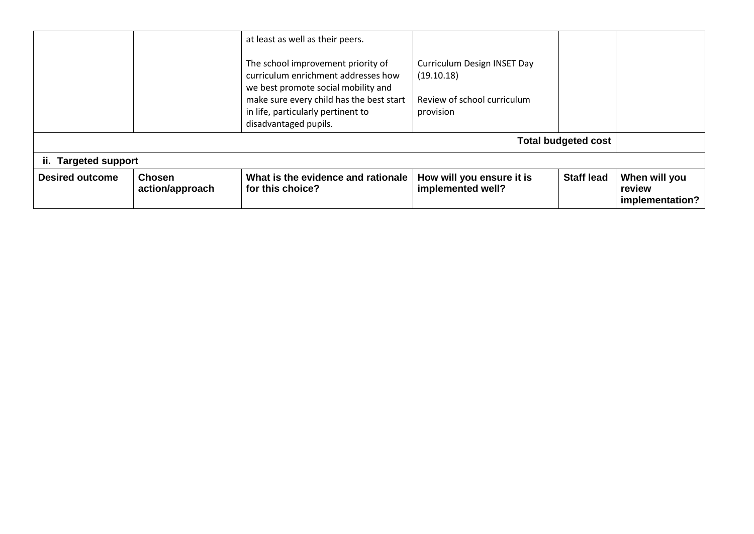| <b>Desired outcome</b> | <b>Chosen</b><br>action/approach | What is the evidence and rationale<br>for this choice?                          | How will you ensure it is<br>implemented well? | <b>Staff lead</b>          | When will you<br>review<br>implementation? |
|------------------------|----------------------------------|---------------------------------------------------------------------------------|------------------------------------------------|----------------------------|--------------------------------------------|
| ii. Targeted support   |                                  |                                                                                 |                                                |                            |                                            |
|                        |                                  |                                                                                 |                                                | <b>Total budgeted cost</b> |                                            |
|                        |                                  | in life, particularly pertinent to<br>disadvantaged pupils.                     | provision                                      |                            |                                            |
|                        |                                  | we best promote social mobility and<br>make sure every child has the best start | Review of school curriculum                    |                            |                                            |
|                        |                                  | The school improvement priority of<br>curriculum enrichment addresses how       | Curriculum Design INSET Day<br>(19.10.18)      |                            |                                            |
|                        |                                  | at least as well as their peers.                                                |                                                |                            |                                            |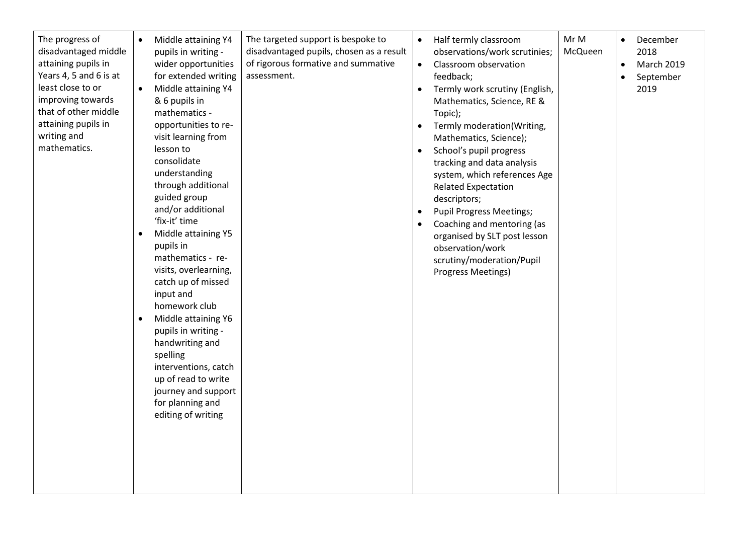| The progress of<br>disadvantaged middle<br>attaining pupils in<br>Years 4, 5 and 6 is at<br>least close to or<br>improving towards<br>that of other middle<br>attaining pupils in<br>writing and<br>mathematics. | $\bullet$<br>$\bullet$<br>$\bullet$<br>$\bullet$ | Middle attaining Y4<br>pupils in writing -<br>wider opportunities<br>for extended writing<br>Middle attaining Y4<br>& 6 pupils in<br>mathematics -<br>opportunities to re-<br>visit learning from<br>lesson to<br>consolidate<br>understanding<br>through additional<br>guided group<br>and/or additional<br>'fix-it' time<br>Middle attaining Y5<br>pupils in<br>mathematics - re-<br>visits, overlearning,<br>catch up of missed<br>input and<br>homework club<br>Middle attaining Y6<br>pupils in writing -<br>handwriting and<br>spelling<br>interventions, catch<br>up of read to write<br>journey and support<br>for planning and<br>editing of writing | The targeted support is bespoke to<br>disadvantaged pupils, chosen as a result<br>of rigorous formative and summative<br>assessment. | $\bullet$<br>$\bullet$<br>$\bullet$<br>$\bullet$<br>$\bullet$<br>$\bullet$ | Half termly classroom<br>observations/work scrutinies;<br>Classroom observation<br>feedback;<br>Termly work scrutiny (English,<br>Mathematics, Science, RE &<br>Topic);<br>Termly moderation(Writing,<br>Mathematics, Science);<br>School's pupil progress<br>tracking and data analysis<br>system, which references Age<br><b>Related Expectation</b><br>descriptors;<br><b>Pupil Progress Meetings;</b><br>Coaching and mentoring (as<br>organised by SLT post lesson<br>observation/work<br>scrutiny/moderation/Pupil<br>Progress Meetings) | Mr M<br>McQueen | $\bullet$<br>$\bullet$<br>$\bullet$ | December<br>2018<br>March 2019<br>September<br>2019 |
|------------------------------------------------------------------------------------------------------------------------------------------------------------------------------------------------------------------|--------------------------------------------------|---------------------------------------------------------------------------------------------------------------------------------------------------------------------------------------------------------------------------------------------------------------------------------------------------------------------------------------------------------------------------------------------------------------------------------------------------------------------------------------------------------------------------------------------------------------------------------------------------------------------------------------------------------------|--------------------------------------------------------------------------------------------------------------------------------------|----------------------------------------------------------------------------|------------------------------------------------------------------------------------------------------------------------------------------------------------------------------------------------------------------------------------------------------------------------------------------------------------------------------------------------------------------------------------------------------------------------------------------------------------------------------------------------------------------------------------------------|-----------------|-------------------------------------|-----------------------------------------------------|
|------------------------------------------------------------------------------------------------------------------------------------------------------------------------------------------------------------------|--------------------------------------------------|---------------------------------------------------------------------------------------------------------------------------------------------------------------------------------------------------------------------------------------------------------------------------------------------------------------------------------------------------------------------------------------------------------------------------------------------------------------------------------------------------------------------------------------------------------------------------------------------------------------------------------------------------------------|--------------------------------------------------------------------------------------------------------------------------------------|----------------------------------------------------------------------------|------------------------------------------------------------------------------------------------------------------------------------------------------------------------------------------------------------------------------------------------------------------------------------------------------------------------------------------------------------------------------------------------------------------------------------------------------------------------------------------------------------------------------------------------|-----------------|-------------------------------------|-----------------------------------------------------|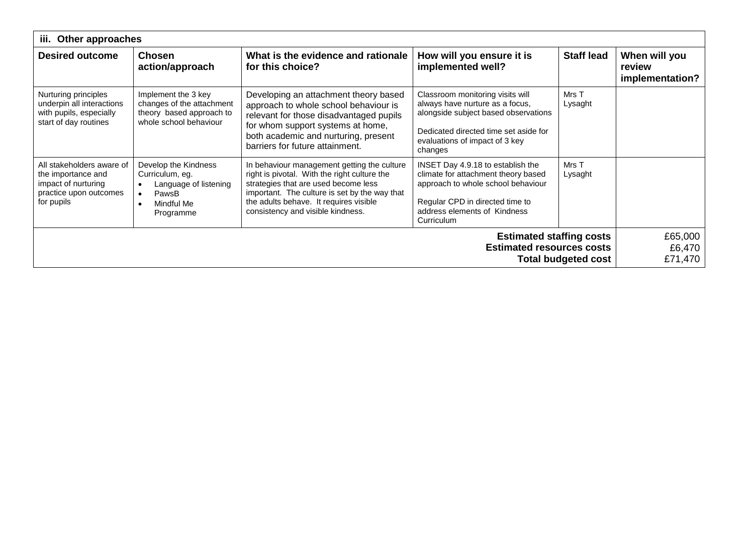|                                                                                                                | iii. Other approaches                                                                                  |                                                                                                                                                                                                                                                                     |                                                                                                                                                                                                   |                            |                                            |  |
|----------------------------------------------------------------------------------------------------------------|--------------------------------------------------------------------------------------------------------|---------------------------------------------------------------------------------------------------------------------------------------------------------------------------------------------------------------------------------------------------------------------|---------------------------------------------------------------------------------------------------------------------------------------------------------------------------------------------------|----------------------------|--------------------------------------------|--|
| <b>Desired outcome</b>                                                                                         | <b>Chosen</b><br>action/approach                                                                       | What is the evidence and rationale<br>for this choice?                                                                                                                                                                                                              | How will you ensure it is<br>implemented well?                                                                                                                                                    | <b>Staff lead</b>          | When will you<br>review<br>implementation? |  |
| Nurturing principles<br>underpin all interactions<br>with pupils, especially<br>start of day routines          | Implement the 3 key<br>changes of the attachment<br>theory based approach to<br>whole school behaviour | Developing an attachment theory based<br>approach to whole school behaviour is<br>relevant for those disadvantaged pupils<br>for whom support systems at home,<br>both academic and nurturing, present<br>barriers for future attainment.                           | Classroom monitoring visits will<br>always have nurture as a focus,<br>alongside subject based observations<br>Dedicated directed time set aside for<br>evaluations of impact of 3 key<br>changes | Mrs T<br>Lysaght           |                                            |  |
| All stakeholders aware of<br>the importance and<br>impact of nurturing<br>practice upon outcomes<br>for pupils | Develop the Kindness<br>Curriculum, eg.<br>Language of listening<br>PawsB<br>Mindful Me<br>Programme   | In behaviour management getting the culture<br>right is pivotal. With the right culture the<br>strategies that are used become less<br>important. The culture is set by the way that<br>the adults behave. It requires visible<br>consistency and visible kindness. | INSET Day 4.9.18 to establish the<br>climate for attachment theory based<br>approach to whole school behaviour<br>Regular CPD in directed time to<br>address elements of Kindness<br>Curriculum   | Mrs T<br>Lysaght           |                                            |  |
|                                                                                                                |                                                                                                        |                                                                                                                                                                                                                                                                     | <b>Estimated staffing costs</b><br><b>Estimated resources costs</b>                                                                                                                               | <b>Total budgeted cost</b> | £65,000<br>£6,470<br>£71,470               |  |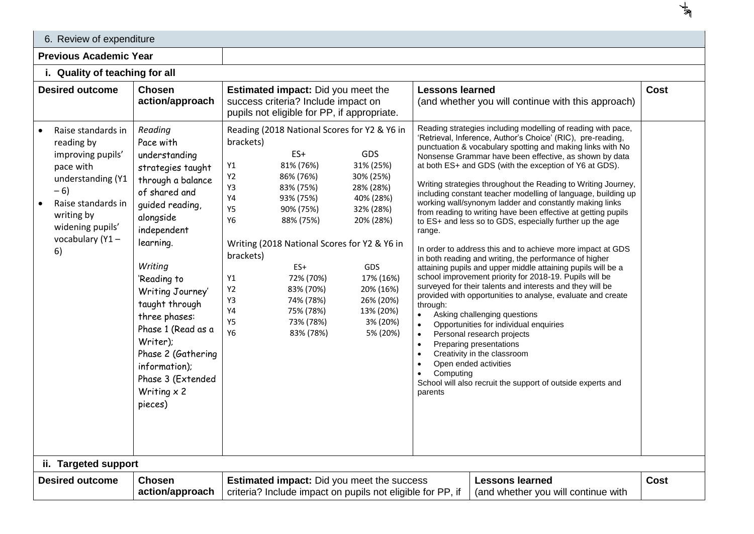| 6. Review of expenditure                                                                                                                                                          |                                                                                                                                                                                                                                                                                                                                                                              |                                                                                                                                                                                                                                                                                                                                                                                                                                                                                                                                                                                                                                                                                                                                                                                                                                                                                                                                                                                                                                                                                                                                                                                                                                                                                                                                                                                                                                                                                                                                                                                                                                                                                                                                                                                                                                                                                                                                                          |             |
|-----------------------------------------------------------------------------------------------------------------------------------------------------------------------------------|------------------------------------------------------------------------------------------------------------------------------------------------------------------------------------------------------------------------------------------------------------------------------------------------------------------------------------------------------------------------------|----------------------------------------------------------------------------------------------------------------------------------------------------------------------------------------------------------------------------------------------------------------------------------------------------------------------------------------------------------------------------------------------------------------------------------------------------------------------------------------------------------------------------------------------------------------------------------------------------------------------------------------------------------------------------------------------------------------------------------------------------------------------------------------------------------------------------------------------------------------------------------------------------------------------------------------------------------------------------------------------------------------------------------------------------------------------------------------------------------------------------------------------------------------------------------------------------------------------------------------------------------------------------------------------------------------------------------------------------------------------------------------------------------------------------------------------------------------------------------------------------------------------------------------------------------------------------------------------------------------------------------------------------------------------------------------------------------------------------------------------------------------------------------------------------------------------------------------------------------------------------------------------------------------------------------------------------------|-------------|
| <b>Previous Academic Year</b>                                                                                                                                                     |                                                                                                                                                                                                                                                                                                                                                                              |                                                                                                                                                                                                                                                                                                                                                                                                                                                                                                                                                                                                                                                                                                                                                                                                                                                                                                                                                                                                                                                                                                                                                                                                                                                                                                                                                                                                                                                                                                                                                                                                                                                                                                                                                                                                                                                                                                                                                          |             |
| i. Quality of teaching for all                                                                                                                                                    |                                                                                                                                                                                                                                                                                                                                                                              |                                                                                                                                                                                                                                                                                                                                                                                                                                                                                                                                                                                                                                                                                                                                                                                                                                                                                                                                                                                                                                                                                                                                                                                                                                                                                                                                                                                                                                                                                                                                                                                                                                                                                                                                                                                                                                                                                                                                                          |             |
| <b>Desired outcome</b>                                                                                                                                                            | <b>Chosen</b><br>action/approach                                                                                                                                                                                                                                                                                                                                             | <b>Lessons learned</b><br><b>Estimated impact:</b> Did you meet the<br>success criteria? Include impact on<br>(and whether you will continue with this approach)<br>pupils not eligible for PP, if appropriate.                                                                                                                                                                                                                                                                                                                                                                                                                                                                                                                                                                                                                                                                                                                                                                                                                                                                                                                                                                                                                                                                                                                                                                                                                                                                                                                                                                                                                                                                                                                                                                                                                                                                                                                                          | <b>Cost</b> |
| Raise standards in<br>reading by<br>improving pupils'<br>pace with<br>understanding (Y1<br>$-6)$<br>Raise standards in<br>writing by<br>widening pupils'<br>vocabulary (Y1-<br>6) | Reading<br>Pace with<br>understanding<br>strategies taught<br>through a balance<br>of shared and<br>guided reading,<br>alongside<br>independent<br>learning.<br>Writing<br>'Reading to<br>Writing Journey'<br>taught through<br>three phases:<br>Phase 1 (Read as a<br>Writer);<br>Phase 2 (Gathering<br>information);<br>Phase 3 (Extended<br>Writing $\times$ 2<br>pieces) | Reading strategies including modelling of reading with pace,<br>Reading (2018 National Scores for Y2 & Y6 in<br>'Retrieval, Inference, Author's Choice' (RIC), pre-reading,<br>brackets)<br>punctuation & vocabulary spotting and making links with No<br>ES+<br>GDS<br>Nonsense Grammar have been effective, as shown by data<br>81% (76%)<br>31% (25%)<br>at both ES+ and GDS (with the exception of Y6 at GDS).<br>Y1<br>$\ensuremath{\mathsf{Y2}}$<br>86% (76%)<br>30% (25%)<br>Writing strategies throughout the Reading to Writing Journey,<br>Y3<br>83% (75%)<br>28% (28%)<br>including constant teacher modelling of language, building up<br>$\ensuremath{\mathsf{Y4}}$<br>40% (28%)<br>93% (75%)<br>working wall/synonym ladder and constantly making links<br>Y5<br>90% (75%)<br>32% (28%)<br>from reading to writing have been effective at getting pupils<br>Y6<br>88% (75%)<br>20% (28%)<br>to ES+ and less so to GDS, especially further up the age<br>range.<br>Writing (2018 National Scores for Y2 & Y6 in<br>In order to address this and to achieve more impact at GDS<br>brackets)<br>in both reading and writing, the performance of higher<br>$ES+$<br>GDS<br>attaining pupils and upper middle attaining pupils will be a<br>school improvement priority for 2018-19. Pupils will be<br>72% (70%)<br>17% (16%)<br>Y1<br>surveyed for their talents and interests and they will be<br>Y2<br>83% (70%)<br>20% (16%)<br>provided with opportunities to analyse, evaluate and create<br>Y3<br>74% (78%)<br>26% (20%)<br>through:<br>Υ4<br>75% (78%)<br>13% (20%)<br>Asking challenging questions<br>$\bullet$<br>Y5<br>73% (78%)<br>3% (20%)<br>Opportunities for individual enquiries<br><b>Y6</b><br>5% (20%)<br>83% (78%)<br>Personal research projects<br>Preparing presentations<br>Creativity in the classroom<br>Open ended activities<br>Computing<br>School will also recruit the support of outside experts and<br>parents |             |
| ii. Targeted support                                                                                                                                                              |                                                                                                                                                                                                                                                                                                                                                                              |                                                                                                                                                                                                                                                                                                                                                                                                                                                                                                                                                                                                                                                                                                                                                                                                                                                                                                                                                                                                                                                                                                                                                                                                                                                                                                                                                                                                                                                                                                                                                                                                                                                                                                                                                                                                                                                                                                                                                          |             |
| <b>Desired outcome</b>                                                                                                                                                            | <b>Chosen</b><br>action/approach                                                                                                                                                                                                                                                                                                                                             | <b>Lessons learned</b><br><b>Estimated impact:</b> Did you meet the success<br>criteria? Include impact on pupils not eligible for PP, if<br>(and whether you will continue with                                                                                                                                                                                                                                                                                                                                                                                                                                                                                                                                                                                                                                                                                                                                                                                                                                                                                                                                                                                                                                                                                                                                                                                                                                                                                                                                                                                                                                                                                                                                                                                                                                                                                                                                                                         | <b>Cost</b> |

 $\frac{1}{2}$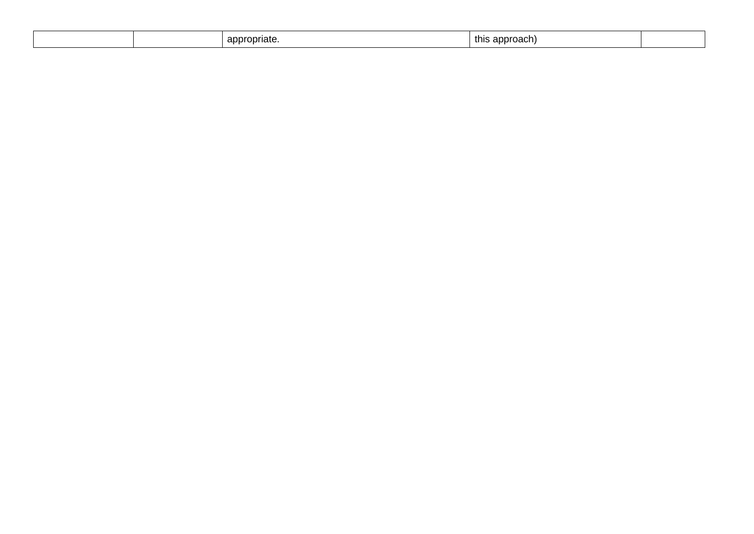|  | appropriate. | approach)<br>this |  |
|--|--------------|-------------------|--|
|  |              |                   |  |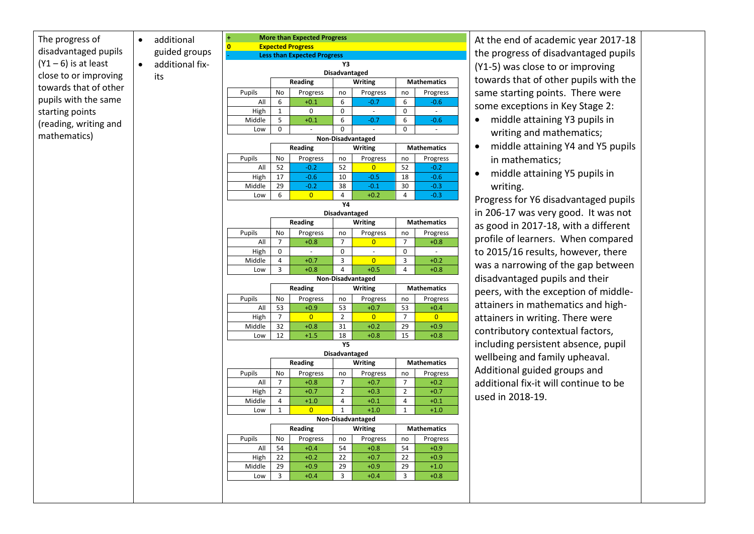The progress of disadvantaged pupils  $(Y1 - 6)$  is at least close to or improving towards that of other pupils with the same starting points (reading, writing and mathematics)

its

• additional guided groups additional fix-**+ More than Expected Progress 0 Expected Progress** - **Less than Expected Progress Y3 Disadvantaged Reading Writing Mathematics** Pupils | No | Progress | no | Progress | no | Progress All 6 +0.1 6 -0.7 6 -0.6 High 1 0 0 0 - 0 -Middle 5 <del>-0.1 6 -0.7 6 -0.6</del> Low 0 - 0 - 0 - **Non-Disadvantaged Reading Writing Mathematics** Pupils No Progress no Progress no Progress<br>All 52 -0.2 52 0 52 -0.2 All 52 <mark>-0.2 52 0 52 -0.2</mark> High 17 -0.6 10 -0.5 18 -0.6 Middle 29 <mark>-0.2 38 -0.1 30 -0.3</mark> Low 6 <mark>0 0</mark> 4 +0.2 4 <mark>-0.3</mark> **Y4 Disadvantaged Reading Writing Mathematics** Pupils No Progress no Progress no Progress All | 7 | +0.8 | 7 | 0 | 7 | +0.8 High 0 | - 0 | - 0 | -Middle | 4 | +0.7 | 3 <mark>| 0 |</mark> 3 | +0.2 Low 3 +0.8 4 +0.5 4 +0.8 **Non-Disadvantaged Reading Writing Mathematics** Pupils No Progress no Progress no Progress All 53 +0.9 53 +0.7 53 +0.4 High | 7 | 0 | 2 | 0 | 7 | 0 Middle 32 +0.8 31 +0.2 29 +0.9 Low 12 +1.5 18 +0.8 15 +0.8 **Y5 Disadvantaged Reading Writing Mathematics** Pupils | No | Progress | no | Progress | no | Progress All | 7 | +0.8 | 7 | +0.7 | 7 | +0.2 High 2 +0.7 2 +0.3 2 +0.7 Middle 4 +1.0 4 +0.1 4 +0.1 Low | 1 | 0 | 1 | +1.0 | 1 | +1.0 **Non-Disadvantaged Reading Writing Mathematics** Pupils No Progress no Progress no Progress All 54 +0.4 54 +0.8 54 +0.9 High 22 +0.2 22 +0.7 22 +0.9

> Middle 29 +0.9 29 +0.9 29 +1.0 Low | 3 |  $+0.4$  | 3 |  $+0.4$  | 3 |  $+0.8$

At the end of academic year 2017-18 the progress of disadvantaged pupils (Y1-5) was close to or improving towards that of other pupils with the same starting points. There were some exceptions in Key Stage 2:

- middle attaining Y3 pupils in writing and mathematics;
- middle attaining Y4 and Y5 pupils in mathematics;
- middle attaining Y5 pupils in writing.

Progress for Y6 disadvantaged pupils in 206-17 was very good. It was not as good in 2017-18, with a different profile of learners. When compared to 2015/16 results, however, there was a narrowing of the gap between disadvantaged pupils and their peers, with the exception of middleattainers in mathematics and highattainers in writing. There were contributory contextual factors, including persistent absence, pupil wellbeing and family upheaval. Additional guided groups and additional fix-it will continue to be used in 2018-19.